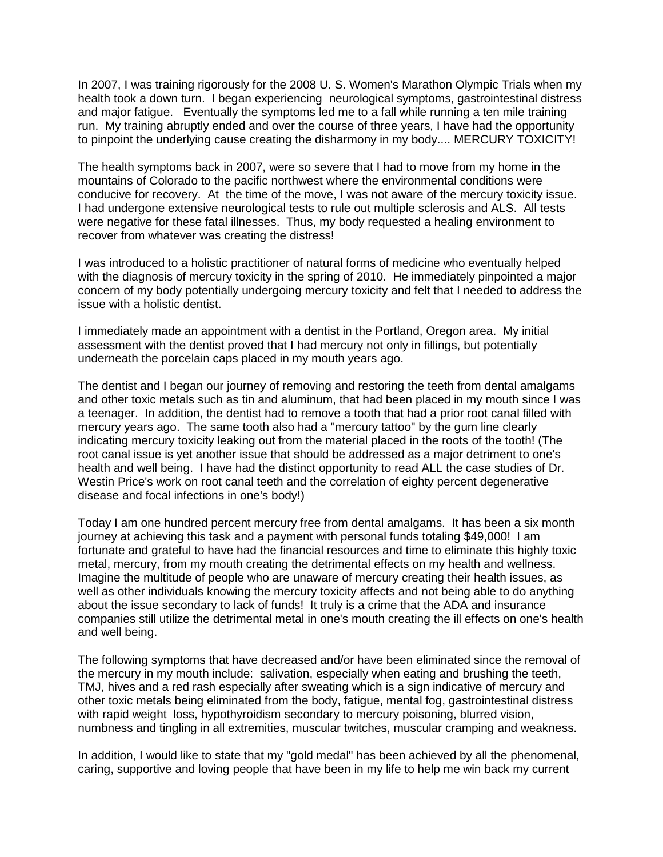In 2007, I was training rigorously for the 2008 U. S. Women's Marathon Olympic Trials when my health took a down turn. I began experiencing neurological symptoms, gastrointestinal distress and major fatigue. Eventually the symptoms led me to a fall while running a ten mile training run. My training abruptly ended and over the course of three years, I have had the opportunity to pinpoint the underlying cause creating the disharmony in my body.... MERCURY TOXICITY!

The health symptoms back in 2007, were so severe that I had to move from my home in the mountains of Colorado to the pacific northwest where the environmental conditions were conducive for recovery. At the time of the move, I was not aware of the mercury toxicity issue. I had undergone extensive neurological tests to rule out multiple sclerosis and ALS. All tests were negative for these fatal illnesses. Thus, my body requested a healing environment to recover from whatever was creating the distress!

I was introduced to a holistic practitioner of natural forms of medicine who eventually helped with the diagnosis of mercury toxicity in the spring of 2010. He immediately pinpointed a major concern of my body potentially undergoing mercury toxicity and felt that I needed to address the issue with a holistic dentist.

I immediately made an appointment with a dentist in the Portland, Oregon area. My initial assessment with the dentist proved that I had mercury not only in fillings, but potentially underneath the porcelain caps placed in my mouth years ago.

The dentist and I began our journey of removing and restoring the teeth from dental amalgams and other toxic metals such as tin and aluminum, that had been placed in my mouth since I was a teenager. In addition, the dentist had to remove a tooth that had a prior root canal filled with mercury years ago. The same tooth also had a "mercury tattoo" by the gum line clearly indicating mercury toxicity leaking out from the material placed in the roots of the tooth! (The root canal issue is yet another issue that should be addressed as a major detriment to one's health and well being. I have had the distinct opportunity to read ALL the case studies of Dr. Westin Price's work on root canal teeth and the correlation of eighty percent degenerative disease and focal infections in one's body!)

Today I am one hundred percent mercury free from dental amalgams. It has been a six month journey at achieving this task and a payment with personal funds totaling \$49,000! I am fortunate and grateful to have had the financial resources and time to eliminate this highly toxic metal, mercury, from my mouth creating the detrimental effects on my health and wellness. Imagine the multitude of people who are unaware of mercury creating their health issues, as well as other individuals knowing the mercury toxicity affects and not being able to do anything about the issue secondary to lack of funds! It truly is a crime that the ADA and insurance companies still utilize the detrimental metal in one's mouth creating the ill effects on one's health and well being.

The following symptoms that have decreased and/or have been eliminated since the removal of the mercury in my mouth include: salivation, especially when eating and brushing the teeth, TMJ, hives and a red rash especially after sweating which is a sign indicative of mercury and other toxic metals being eliminated from the body, fatigue, mental fog, gastrointestinal distress with rapid weight loss, hypothyroidism secondary to mercury poisoning, blurred vision, numbness and tingling in all extremities, muscular twitches, muscular cramping and weakness.

In addition, I would like to state that my "gold medal" has been achieved by all the phenomenal, caring, supportive and loving people that have been in my life to help me win back my current